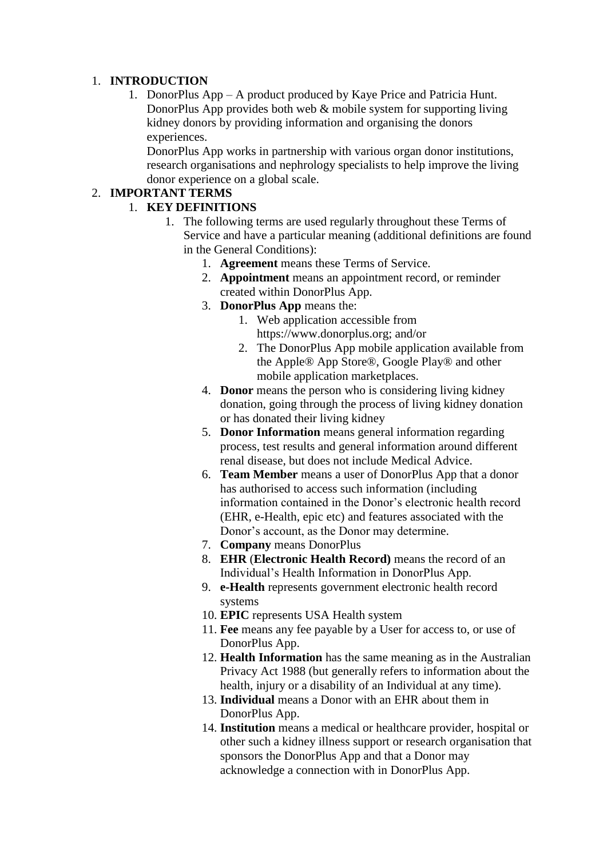### 1. **INTRODUCTION**

1. DonorPlus App – A product produced by Kaye Price and Patricia Hunt. DonorPlus App provides both web & mobile system for supporting living kidney donors by providing information and organising the donors experiences.

DonorPlus App works in partnership with various organ donor institutions, research organisations and nephrology specialists to help improve the living donor experience on a global scale.

## 2. **IMPORTANT TERMS**

## 1. **KEY DEFINITIONS**

- 1. The following terms are used regularly throughout these Terms of Service and have a particular meaning (additional definitions are found in the General Conditions):
	- 1. **Agreement** means these Terms of Service.
	- 2. **Appointment** means an appointment record, or reminder created within DonorPlus App.
	- 3. **DonorPlus App** means the:
		- 1. Web application accessible from https://www.donorplus.org; and/or
		- 2. The DonorPlus App mobile application available from the Apple® App Store®, Google Play® and other mobile application marketplaces.
	- 4. **Donor** means the person who is considering living kidney donation, going through the process of living kidney donation or has donated their living kidney
	- 5. **Donor Information** means general information regarding process, test results and general information around different renal disease, but does not include Medical Advice.
	- 6. **Team Member** means a user of DonorPlus App that a donor has authorised to access such information (including information contained in the Donor's electronic health record (EHR, e-Health, epic etc) and features associated with the Donor's account, as the Donor may determine.
	- 7. **Company** means DonorPlus
	- 8. **EHR** (**Electronic Health Record)** means the record of an Individual's Health Information in DonorPlus App.
	- 9. **e-Health** represents government electronic health record systems
	- 10. **EPIC** represents USA Health system
	- 11. **Fee** means any fee payable by a User for access to, or use of DonorPlus App.
	- 12. **Health Information** has the same meaning as in the Australian Privacy Act 1988 (but generally refers to information about the health, injury or a disability of an Individual at any time).
	- 13. **Individual** means a Donor with an EHR about them in DonorPlus App.
	- 14. **Institution** means a medical or healthcare provider, hospital or other such a kidney illness support or research organisation that sponsors the DonorPlus App and that a Donor may acknowledge a connection with in DonorPlus App.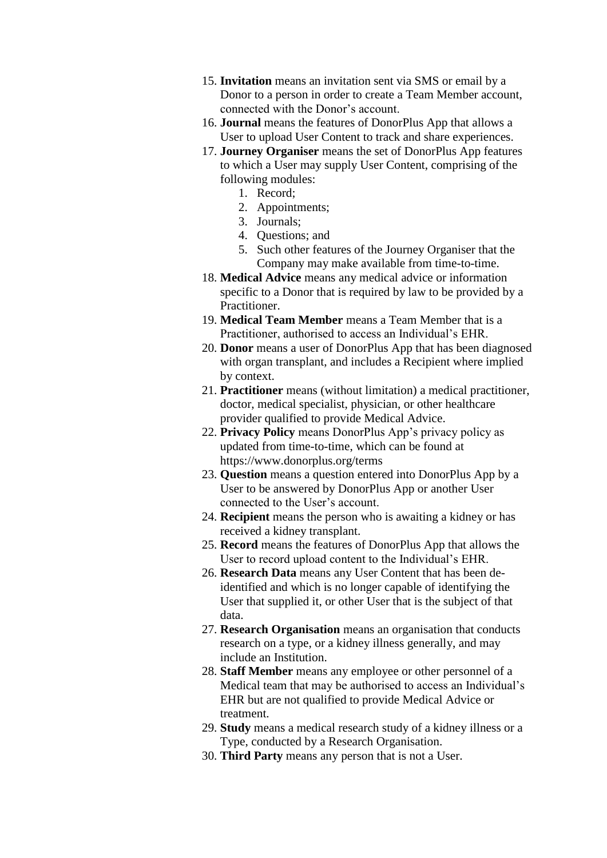- 15. **Invitation** means an invitation sent via SMS or email by a Donor to a person in order to create a Team Member account, connected with the Donor's account.
- 16. **Journal** means the features of DonorPlus App that allows a User to upload User Content to track and share experiences.
- 17. **Journey Organiser** means the set of DonorPlus App features to which a User may supply User Content, comprising of the following modules:
	- 1. Record;
	- 2. Appointments;
	- 3. Journals;
	- 4. Questions; and
	- 5. Such other features of the Journey Organiser that the Company may make available from time-to-time.
- 18. **Medical Advice** means any medical advice or information specific to a Donor that is required by law to be provided by a Practitioner.
- 19. **Medical Team Member** means a Team Member that is a Practitioner, authorised to access an Individual's EHR.
- 20. **Donor** means a user of DonorPlus App that has been diagnosed with organ transplant, and includes a Recipient where implied by context.
- 21. **Practitioner** means (without limitation) a medical practitioner, doctor, medical specialist, physician, or other healthcare provider qualified to provide Medical Advice.
- 22. **Privacy Policy** means DonorPlus App's privacy policy as updated from time-to-time, which can be found at https://www.donorplus.org/terms
- 23. **Question** means a question entered into DonorPlus App by a User to be answered by DonorPlus App or another User connected to the User's account.
- 24. **Recipient** means the person who is awaiting a kidney or has received a kidney transplant.
- 25. **Record** means the features of DonorPlus App that allows the User to record upload content to the Individual's EHR.
- 26. **Research Data** means any User Content that has been deidentified and which is no longer capable of identifying the User that supplied it, or other User that is the subject of that data.
- 27. **Research Organisation** means an organisation that conducts research on a type, or a kidney illness generally, and may include an Institution.
- 28. **Staff Member** means any employee or other personnel of a Medical team that may be authorised to access an Individual's EHR but are not qualified to provide Medical Advice or treatment.
- 29. **Study** means a medical research study of a kidney illness or a Type, conducted by a Research Organisation.
- 30. **Third Party** means any person that is not a User.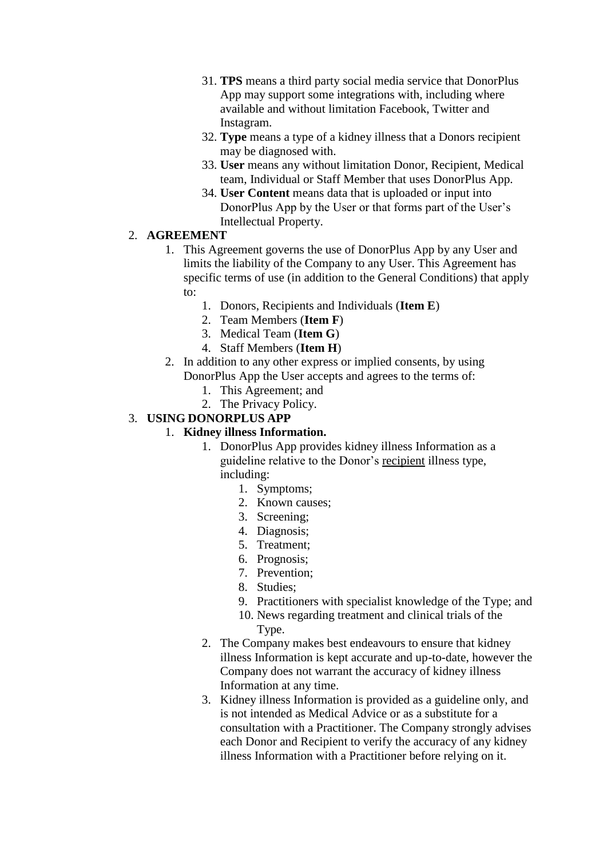- 31. **TPS** means a third party social media service that DonorPlus App may support some integrations with, including where available and without limitation Facebook, Twitter and Instagram.
- 32. **Type** means a type of a kidney illness that a Donors recipient may be diagnosed with.
- 33. **User** means any without limitation Donor, Recipient, Medical team, Individual or Staff Member that uses DonorPlus App.
- 34. **User Content** means data that is uploaded or input into DonorPlus App by the User or that forms part of the User's Intellectual Property.

#### 2. **AGREEMENT**

- 1. This Agreement governs the use of DonorPlus App by any User and limits the liability of the Company to any User. This Agreement has specific terms of use (in addition to the General Conditions) that apply to:
	- 1. Donors, Recipients and Individuals (**Item E**)
	- 2. Team Members (**Item F**)
	- 3. Medical Team (**Item G**)
	- 4. Staff Members (**Item H**)
- 2. In addition to any other express or implied consents, by using DonorPlus App the User accepts and agrees to the terms of:
	- 1. This Agreement; and
	- 2. The Privacy Policy.

### 3. **USING DONORPLUS APP**

#### 1. **Kidney illness Information.**

- 1. DonorPlus App provides kidney illness Information as a guideline relative to the Donor's recipient illness type, including:
	- 1. Symptoms;
	- 2. Known causes;
	- 3. Screening;
	- 4. Diagnosis;
	- 5. Treatment;
	- 6. Prognosis;
	- 7. Prevention;
	- 8. Studies;
	- 9. Practitioners with specialist knowledge of the Type; and
	- 10. News regarding treatment and clinical trials of the Type.
- 2. The Company makes best endeavours to ensure that kidney illness Information is kept accurate and up-to-date, however the Company does not warrant the accuracy of kidney illness Information at any time.
- 3. Kidney illness Information is provided as a guideline only, and is not intended as Medical Advice or as a substitute for a consultation with a Practitioner. The Company strongly advises each Donor and Recipient to verify the accuracy of any kidney illness Information with a Practitioner before relying on it.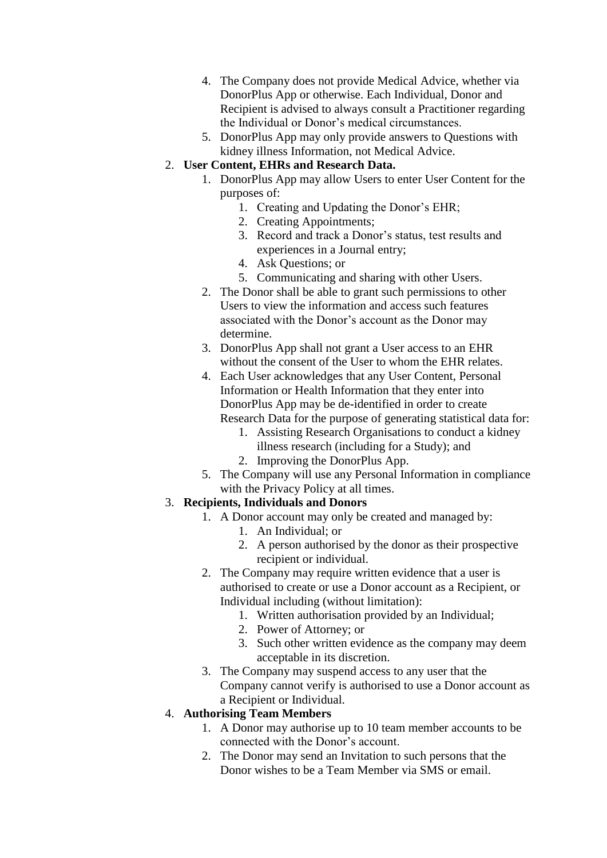- 4. The Company does not provide Medical Advice, whether via DonorPlus App or otherwise. Each Individual, Donor and Recipient is advised to always consult a Practitioner regarding the Individual or Donor's medical circumstances.
- 5. DonorPlus App may only provide answers to Questions with kidney illness Information, not Medical Advice.

#### 2. **User Content, EHRs and Research Data.**

- 1. DonorPlus App may allow Users to enter User Content for the purposes of:
	- 1. Creating and Updating the Donor's EHR;
	- 2. Creating Appointments;
	- 3. Record and track a Donor's status, test results and experiences in a Journal entry;
	- 4. Ask Questions; or
	- 5. Communicating and sharing with other Users.
- 2. The Donor shall be able to grant such permissions to other Users to view the information and access such features associated with the Donor's account as the Donor may determine.
- 3. DonorPlus App shall not grant a User access to an EHR without the consent of the User to whom the EHR relates.
- 4. Each User acknowledges that any User Content, Personal Information or Health Information that they enter into DonorPlus App may be de-identified in order to create Research Data for the purpose of generating statistical data for:
	- 1. Assisting Research Organisations to conduct a kidney illness research (including for a Study); and
	- 2. Improving the DonorPlus App.
- 5. The Company will use any Personal Information in compliance with the Privacy Policy at all times.

### 3. **Recipients, Individuals and Donors**

- 1. A Donor account may only be created and managed by:
	- 1. An Individual; or
	- 2. A person authorised by the donor as their prospective recipient or individual.
- 2. The Company may require written evidence that a user is authorised to create or use a Donor account as a Recipient, or Individual including (without limitation):
	- 1. Written authorisation provided by an Individual;
	- 2. Power of Attorney; or
	- 3. Such other written evidence as the company may deem acceptable in its discretion.
- 3. The Company may suspend access to any user that the Company cannot verify is authorised to use a Donor account as a Recipient or Individual.

### 4. **Authorising Team Members**

- 1. A Donor may authorise up to 10 team member accounts to be connected with the Donor's account.
- 2. The Donor may send an Invitation to such persons that the Donor wishes to be a Team Member via SMS or email.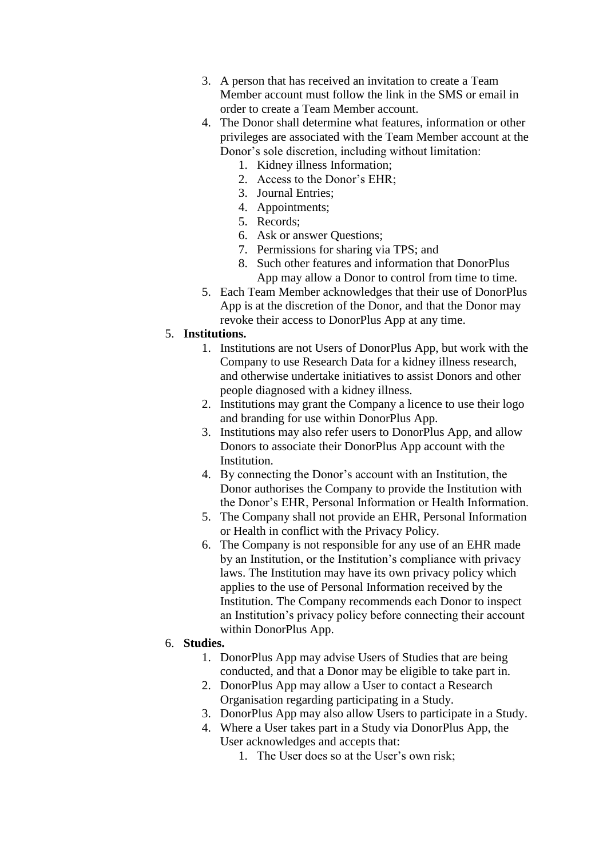- 3. A person that has received an invitation to create a Team Member account must follow the link in the SMS or email in order to create a Team Member account.
- 4. The Donor shall determine what features, information or other privileges are associated with the Team Member account at the Donor's sole discretion, including without limitation:
	- 1. Kidney illness Information;
	- 2. Access to the Donor's EHR;
	- 3. Journal Entries;
	- 4. Appointments;
	- 5. Records;
	- 6. Ask or answer Questions;
	- 7. Permissions for sharing via TPS; and
	- 8. Such other features and information that DonorPlus App may allow a Donor to control from time to time.
- 5. Each Team Member acknowledges that their use of DonorPlus App is at the discretion of the Donor, and that the Donor may revoke their access to DonorPlus App at any time.

#### 5. **Institutions.**

- 1. Institutions are not Users of DonorPlus App, but work with the Company to use Research Data for a kidney illness research, and otherwise undertake initiatives to assist Donors and other people diagnosed with a kidney illness.
- 2. Institutions may grant the Company a licence to use their logo and branding for use within DonorPlus App.
- 3. Institutions may also refer users to DonorPlus App, and allow Donors to associate their DonorPlus App account with the Institution.
- 4. By connecting the Donor's account with an Institution, the Donor authorises the Company to provide the Institution with the Donor's EHR, Personal Information or Health Information.
- 5. The Company shall not provide an EHR, Personal Information or Health in conflict with the Privacy Policy.
- 6. The Company is not responsible for any use of an EHR made by an Institution, or the Institution's compliance with privacy laws. The Institution may have its own privacy policy which applies to the use of Personal Information received by the Institution. The Company recommends each Donor to inspect an Institution's privacy policy before connecting their account within DonorPlus App.

#### 6. **Studies.**

- 1. DonorPlus App may advise Users of Studies that are being conducted, and that a Donor may be eligible to take part in.
- 2. DonorPlus App may allow a User to contact a Research Organisation regarding participating in a Study.
- 3. DonorPlus App may also allow Users to participate in a Study.
- 4. Where a User takes part in a Study via DonorPlus App, the User acknowledges and accepts that:
	- 1. The User does so at the User's own risk;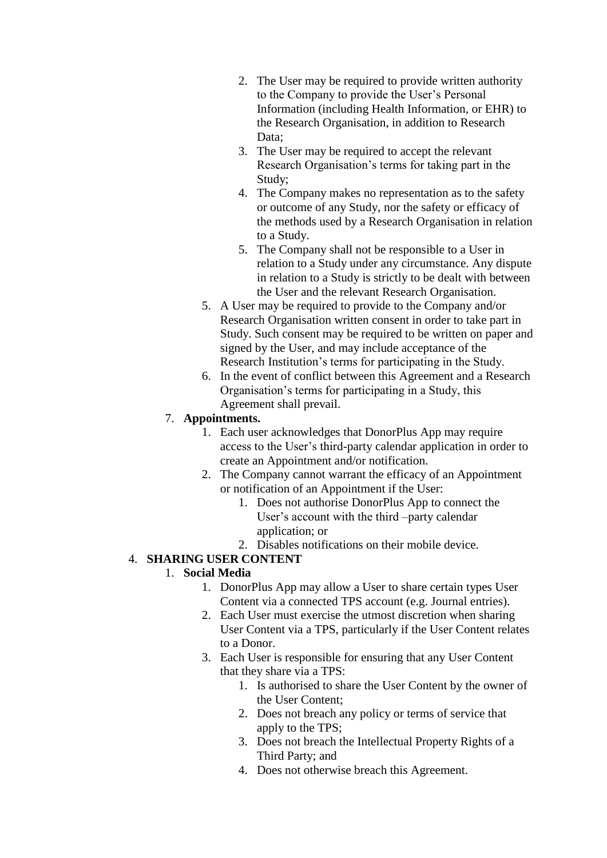- 2. The User may be required to provide written authority to the Company to provide the User's Personal Information (including Health Information, or EHR) to the Research Organisation, in addition to Research Data:
- 3. The User may be required to accept the relevant Research Organisation's terms for taking part in the Study;
- 4. The Company makes no representation as to the safety or outcome of any Study, nor the safety or efficacy of the methods used by a Research Organisation in relation to a Study.
- 5. The Company shall not be responsible to a User in relation to a Study under any circumstance. Any dispute in relation to a Study is strictly to be dealt with between the User and the relevant Research Organisation.
- 5. A User may be required to provide to the Company and/or Research Organisation written consent in order to take part in Study. Such consent may be required to be written on paper and signed by the User, and may include acceptance of the Research Institution's terms for participating in the Study.
- 6. In the event of conflict between this Agreement and a Research Organisation's terms for participating in a Study, this Agreement shall prevail.

### 7. **Appointments.**

- 1. Each user acknowledges that DonorPlus App may require access to the User's third-party calendar application in order to create an Appointment and/or notification.
- 2. The Company cannot warrant the efficacy of an Appointment or notification of an Appointment if the User:
	- 1. Does not authorise DonorPlus App to connect the User's account with the third –party calendar application; or
	- 2. Disables notifications on their mobile device.

# 4. **SHARING USER CONTENT**

# 1. **Social Media**

- 1. DonorPlus App may allow a User to share certain types User Content via a connected TPS account (e.g. Journal entries).
- 2. Each User must exercise the utmost discretion when sharing User Content via a TPS, particularly if the User Content relates to a Donor.
- 3. Each User is responsible for ensuring that any User Content that they share via a TPS:
	- 1. Is authorised to share the User Content by the owner of the User Content;
	- 2. Does not breach any policy or terms of service that apply to the TPS;
	- 3. Does not breach the Intellectual Property Rights of a Third Party; and
	- 4. Does not otherwise breach this Agreement.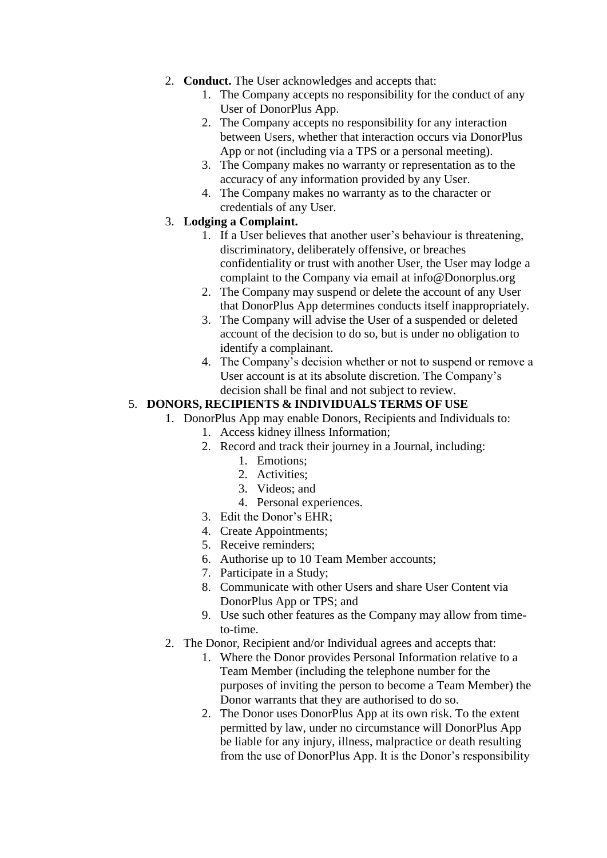- 2. **Conduct.** The User acknowledges and accepts that:
	- 1. The Company accepts no responsibility for the conduct of any User of DonorPlus App.
	- 2. The Company accepts no responsibility for any interaction between Users, whether that interaction occurs via DonorPlus App or not (including via a TPS or a personal meeting).
	- 3. The Company makes no warranty or representation as to the accuracy of any information provided by any User.
	- 4. The Company makes no warranty as to the character or credentials of any User.

### 3. **Lodging a Complaint.**

- 1. If a User believes that another user's behaviour is threatening, discriminatory, deliberately offensive, or breaches confidentiality or trust with another User, the User may lodge a complaint to the Company via email at info@Donorplus.org
- 2. The Company may suspend or delete the account of any User that DonorPlus App determines conducts itself inappropriately.
- 3. The Company will advise the User of a suspended or deleted account of the decision to do so, but is under no obligation to identify a complainant.
- 4. The Company's decision whether or not to suspend or remove a User account is at its absolute discretion. The Company's decision shall be final and not subject to review.

### 5. **DONORS, RECIPIENTS & INDIVIDUALS TERMS OF USE**

- 1. DonorPlus App may enable Donors, Recipients and Individuals to:
	- 1. Access kidney illness Information;
	- 2. Record and track their journey in a Journal, including:
		- 1. Emotions;
		- 2. Activities;
		- 3. Videos; and
		- 4. Personal experiences.
	- 3. Edit the Donor's EHR;
	- 4. Create Appointments;
	- 5. Receive reminders;
	- 6. Authorise up to 10 Team Member accounts;
	- 7. Participate in a Study;
	- 8. Communicate with other Users and share User Content via DonorPlus App or TPS; and
	- 9. Use such other features as the Company may allow from timeto-time.
- 2. The Donor, Recipient and/or Individual agrees and accepts that:
	- 1. Where the Donor provides Personal Information relative to a Team Member (including the telephone number for the purposes of inviting the person to become a Team Member) the Donor warrants that they are authorised to do so.
	- 2. The Donor uses DonorPlus App at its own risk. To the extent permitted by law, under no circumstance will DonorPlus App be liable for any injury, illness, malpractice or death resulting from the use of DonorPlus App. It is the Donor's responsibility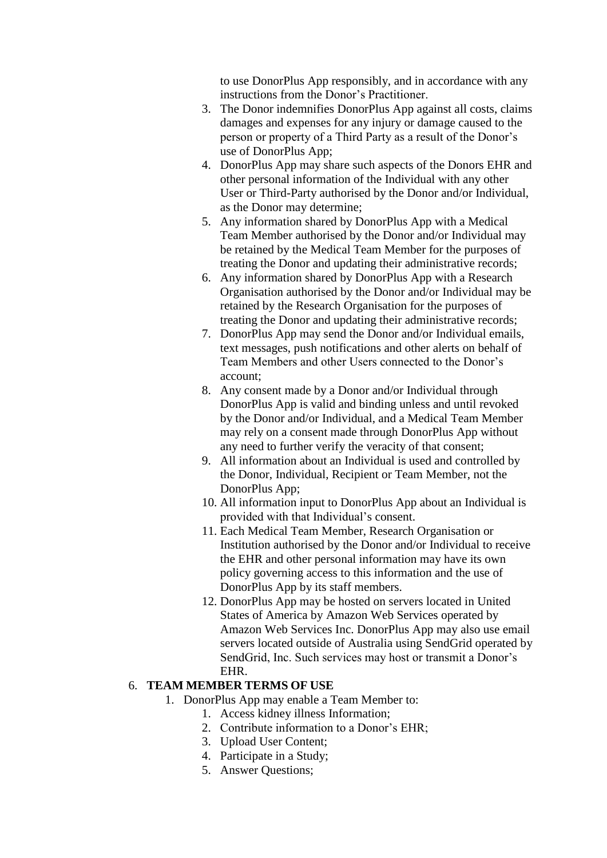to use DonorPlus App responsibly, and in accordance with any instructions from the Donor's Practitioner.

- 3. The Donor indemnifies DonorPlus App against all costs, claims damages and expenses for any injury or damage caused to the person or property of a Third Party as a result of the Donor's use of DonorPlus App;
- 4. DonorPlus App may share such aspects of the Donors EHR and other personal information of the Individual with any other User or Third-Party authorised by the Donor and/or Individual, as the Donor may determine;
- 5. Any information shared by DonorPlus App with a Medical Team Member authorised by the Donor and/or Individual may be retained by the Medical Team Member for the purposes of treating the Donor and updating their administrative records;
- 6. Any information shared by DonorPlus App with a Research Organisation authorised by the Donor and/or Individual may be retained by the Research Organisation for the purposes of treating the Donor and updating their administrative records;
- 7. DonorPlus App may send the Donor and/or Individual emails, text messages, push notifications and other alerts on behalf of Team Members and other Users connected to the Donor's account;
- 8. Any consent made by a Donor and/or Individual through DonorPlus App is valid and binding unless and until revoked by the Donor and/or Individual, and a Medical Team Member may rely on a consent made through DonorPlus App without any need to further verify the veracity of that consent;
- 9. All information about an Individual is used and controlled by the Donor, Individual, Recipient or Team Member, not the DonorPlus App;
- 10. All information input to DonorPlus App about an Individual is provided with that Individual's consent.
- 11. Each Medical Team Member, Research Organisation or Institution authorised by the Donor and/or Individual to receive the EHR and other personal information may have its own policy governing access to this information and the use of DonorPlus App by its staff members.
- 12. DonorPlus App may be hosted on servers located in United States of America by Amazon Web Services operated by Amazon Web Services Inc. DonorPlus App may also use email servers located outside of Australia using SendGrid operated by SendGrid, Inc. Such services may host or transmit a Donor's EHR.

#### 6. **TEAM MEMBER TERMS OF USE**

- 1. DonorPlus App may enable a Team Member to:
	- 1. Access kidney illness Information;
	- 2. Contribute information to a Donor's EHR;
	- 3. Upload User Content;
	- 4. Participate in a Study;
	- 5. Answer Questions;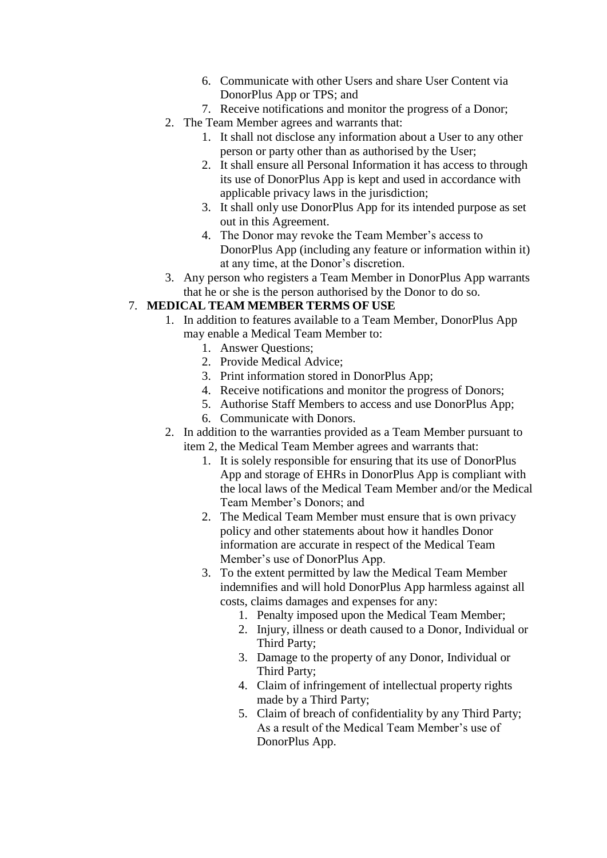- 6. Communicate with other Users and share User Content via DonorPlus App or TPS; and
- 7. Receive notifications and monitor the progress of a Donor;
- 2. The Team Member agrees and warrants that:
	- 1. It shall not disclose any information about a User to any other person or party other than as authorised by the User;
	- 2. It shall ensure all Personal Information it has access to through its use of DonorPlus App is kept and used in accordance with applicable privacy laws in the jurisdiction;
	- 3. It shall only use DonorPlus App for its intended purpose as set out in this Agreement.
	- 4. The Donor may revoke the Team Member's access to DonorPlus App (including any feature or information within it) at any time, at the Donor's discretion.
- 3. Any person who registers a Team Member in DonorPlus App warrants that he or she is the person authorised by the Donor to do so.

### 7. **MEDICAL TEAM MEMBER TERMS OF USE**

- 1. In addition to features available to a Team Member, DonorPlus App may enable a Medical Team Member to:
	- 1. Answer Questions;
	- 2. Provide Medical Advice;
	- 3. Print information stored in DonorPlus App;
	- 4. Receive notifications and monitor the progress of Donors;
	- 5. Authorise Staff Members to access and use DonorPlus App;
	- 6. Communicate with Donors.
- 2. In addition to the warranties provided as a Team Member pursuant to item 2, the Medical Team Member agrees and warrants that:
	- 1. It is solely responsible for ensuring that its use of DonorPlus App and storage of EHRs in DonorPlus App is compliant with the local laws of the Medical Team Member and/or the Medical Team Member's Donors; and
	- 2. The Medical Team Member must ensure that is own privacy policy and other statements about how it handles Donor information are accurate in respect of the Medical Team Member's use of DonorPlus App.
	- 3. To the extent permitted by law the Medical Team Member indemnifies and will hold DonorPlus App harmless against all costs, claims damages and expenses for any:
		- 1. Penalty imposed upon the Medical Team Member;
		- 2. Injury, illness or death caused to a Donor, Individual or Third Party;
		- 3. Damage to the property of any Donor, Individual or Third Party;
		- 4. Claim of infringement of intellectual property rights made by a Third Party;
		- 5. Claim of breach of confidentiality by any Third Party; As a result of the Medical Team Member's use of DonorPlus App.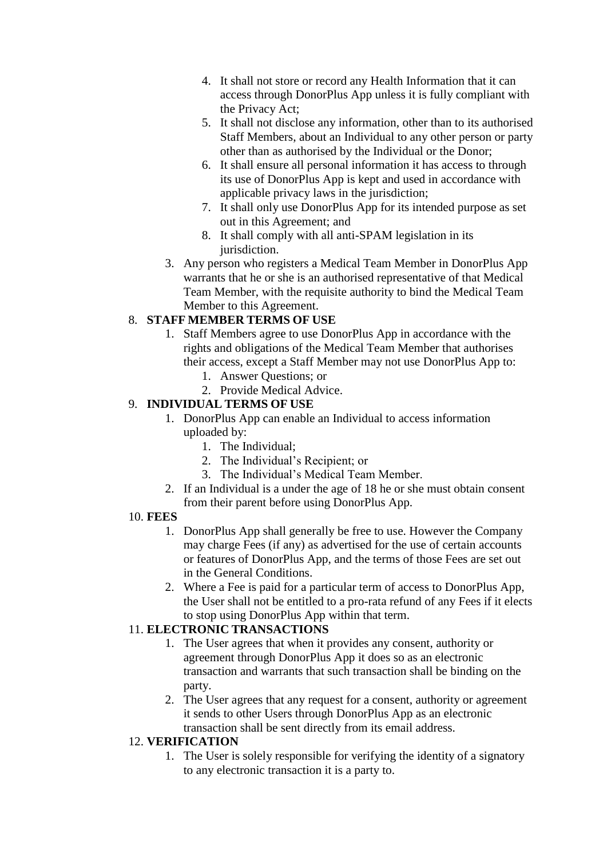- 4. It shall not store or record any Health Information that it can access through DonorPlus App unless it is fully compliant with the Privacy Act;
- 5. It shall not disclose any information, other than to its authorised Staff Members, about an Individual to any other person or party other than as authorised by the Individual or the Donor;
- 6. It shall ensure all personal information it has access to through its use of DonorPlus App is kept and used in accordance with applicable privacy laws in the jurisdiction;
- 7. It shall only use DonorPlus App for its intended purpose as set out in this Agreement; and
- 8. It shall comply with all anti-SPAM legislation in its jurisdiction.
- 3. Any person who registers a Medical Team Member in DonorPlus App warrants that he or she is an authorised representative of that Medical Team Member, with the requisite authority to bind the Medical Team Member to this Agreement.

# 8. **STAFF MEMBER TERMS OF USE**

- 1. Staff Members agree to use DonorPlus App in accordance with the rights and obligations of the Medical Team Member that authorises their access, except a Staff Member may not use DonorPlus App to:
	- 1. Answer Questions; or
	- 2. Provide Medical Advice.

### 9. **INDIVIDUAL TERMS OF USE**

- 1. DonorPlus App can enable an Individual to access information uploaded by:
	- 1. The Individual;
	- 2. The Individual's Recipient; or
	- 3. The Individual's Medical Team Member.
- 2. If an Individual is a under the age of 18 he or she must obtain consent from their parent before using DonorPlus App.

### 10. **FEES**

- 1. DonorPlus App shall generally be free to use. However the Company may charge Fees (if any) as advertised for the use of certain accounts or features of DonorPlus App, and the terms of those Fees are set out in the General Conditions.
- 2. Where a Fee is paid for a particular term of access to DonorPlus App, the User shall not be entitled to a pro-rata refund of any Fees if it elects to stop using DonorPlus App within that term.

# 11. **ELECTRONIC TRANSACTIONS**

- 1. The User agrees that when it provides any consent, authority or agreement through DonorPlus App it does so as an electronic transaction and warrants that such transaction shall be binding on the party.
- 2. The User agrees that any request for a consent, authority or agreement it sends to other Users through DonorPlus App as an electronic transaction shall be sent directly from its email address.

# 12. **VERIFICATION**

1. The User is solely responsible for verifying the identity of a signatory to any electronic transaction it is a party to.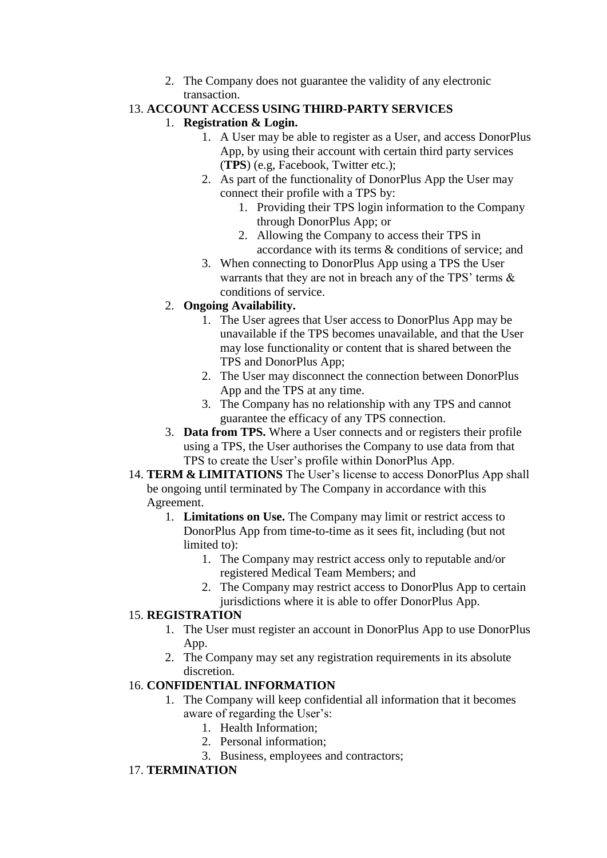2. The Company does not guarantee the validity of any electronic transaction.

# 13. **ACCOUNT ACCESS USING THIRD-PARTY SERVICES**

### 1. **Registration & Login.**

- 1. A User may be able to register as a User, and access DonorPlus App, by using their account with certain third party services (**TPS**) (e.g, Facebook, Twitter etc.);
- 2. As part of the functionality of DonorPlus App the User may connect their profile with a TPS by:
	- 1. Providing their TPS login information to the Company through DonorPlus App; or
	- 2. Allowing the Company to access their TPS in accordance with its terms & conditions of service; and
- 3. When connecting to DonorPlus App using a TPS the User warrants that they are not in breach any of the TPS' terms & conditions of service.

# 2. **Ongoing Availability.**

- 1. The User agrees that User access to DonorPlus App may be unavailable if the TPS becomes unavailable, and that the User may lose functionality or content that is shared between the TPS and DonorPlus App;
- 2. The User may disconnect the connection between DonorPlus App and the TPS at any time.
- 3. The Company has no relationship with any TPS and cannot guarantee the efficacy of any TPS connection.
- 3. **Data from TPS.** Where a User connects and or registers their profile using a TPS, the User authorises the Company to use data from that TPS to create the User's profile within DonorPlus App.
- 14. **TERM & LIMITATIONS** The User's license to access DonorPlus App shall be ongoing until terminated by The Company in accordance with this Agreement.
	- 1. **Limitations on Use.** The Company may limit or restrict access to DonorPlus App from time-to-time as it sees fit, including (but not limited to):
		- 1. The Company may restrict access only to reputable and/or registered Medical Team Members; and
		- 2. The Company may restrict access to DonorPlus App to certain jurisdictions where it is able to offer DonorPlus App.

# 15. **REGISTRATION**

- 1. The User must register an account in DonorPlus App to use DonorPlus App.
- 2. The Company may set any registration requirements in its absolute discretion.

# 16. **CONFIDENTIAL INFORMATION**

- 1. The Company will keep confidential all information that it becomes aware of regarding the User's:
	- 1. Health Information;
	- 2. Personal information;
	- 3. Business, employees and contractors;

# 17. **TERMINATION**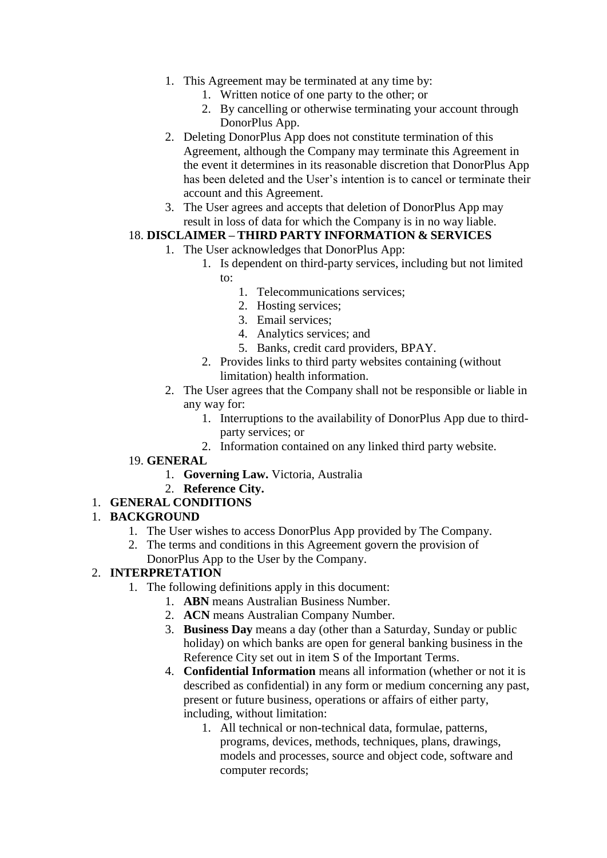- 1. This Agreement may be terminated at any time by:
	- 1. Written notice of one party to the other; or
	- 2. By cancelling or otherwise terminating your account through DonorPlus App.
- 2. Deleting DonorPlus App does not constitute termination of this Agreement, although the Company may terminate this Agreement in the event it determines in its reasonable discretion that DonorPlus App has been deleted and the User's intention is to cancel or terminate their account and this Agreement.
- 3. The User agrees and accepts that deletion of DonorPlus App may result in loss of data for which the Company is in no way liable.

### 18. **DISCLAIMER – THIRD PARTY INFORMATION & SERVICES**

- 1. The User acknowledges that DonorPlus App:
	- 1. Is dependent on third-party services, including but not limited to:
		- 1. Telecommunications services;
		- 2. Hosting services;
		- 3. Email services;
		- 4. Analytics services; and
		- 5. Banks, credit card providers, BPAY.
	- 2. Provides links to third party websites containing (without limitation) health information.
- 2. The User agrees that the Company shall not be responsible or liable in any way for:
	- 1. Interruptions to the availability of DonorPlus App due to thirdparty services; or
	- 2. Information contained on any linked third party website.
- 19. **GENERAL**
	- 1. **Governing Law.** Victoria, Australia
	- 2. **Reference City.**

### 1. **GENERAL CONDITIONS**

### 1. **BACKGROUND**

- 1. The User wishes to access DonorPlus App provided by The Company.
- 2. The terms and conditions in this Agreement govern the provision of DonorPlus App to the User by the Company.

### 2. **INTERPRETATION**

- 1. The following definitions apply in this document:
	- 1. **ABN** means Australian Business Number.
		- 2. **ACN** means Australian Company Number.
		- 3. **Business Day** means a day (other than a Saturday, Sunday or public holiday) on which banks are open for general banking business in the Reference City set out in item S of the Important Terms.
		- 4. **Confidential Information** means all information (whether or not it is described as confidential) in any form or medium concerning any past, present or future business, operations or affairs of either party, including, without limitation:
			- 1. All technical or non-technical data, formulae, patterns, programs, devices, methods, techniques, plans, drawings, models and processes, source and object code, software and computer records;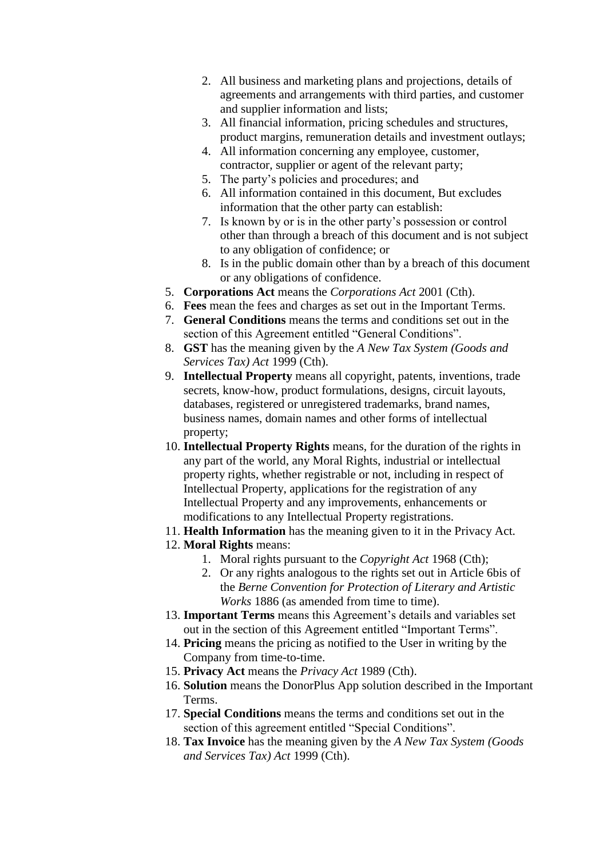- 2. All business and marketing plans and projections, details of agreements and arrangements with third parties, and customer and supplier information and lists;
- 3. All financial information, pricing schedules and structures, product margins, remuneration details and investment outlays;
- 4. All information concerning any employee, customer, contractor, supplier or agent of the relevant party;
- 5. The party's policies and procedures; and
- 6. All information contained in this document, But excludes information that the other party can establish:
- 7. Is known by or is in the other party's possession or control other than through a breach of this document and is not subject to any obligation of confidence; or
- 8. Is in the public domain other than by a breach of this document or any obligations of confidence.
- 5. **Corporations Act** means the *Corporations Act* 2001 (Cth).
- 6. **Fees** mean the fees and charges as set out in the Important Terms.
- 7. **General Conditions** means the terms and conditions set out in the section of this Agreement entitled "General Conditions".
- 8. **GST** has the meaning given by the *A New Tax System (Goods and Services Tax) Act* 1999 (Cth).
- 9. **Intellectual Property** means all copyright, patents, inventions, trade secrets, know-how, product formulations, designs, circuit layouts, databases, registered or unregistered trademarks, brand names, business names, domain names and other forms of intellectual property;
- 10. **Intellectual Property Rights** means, for the duration of the rights in any part of the world, any Moral Rights, industrial or intellectual property rights, whether registrable or not, including in respect of Intellectual Property, applications for the registration of any Intellectual Property and any improvements, enhancements or modifications to any Intellectual Property registrations.
- 11. **Health Information** has the meaning given to it in the Privacy Act.
- 12. **Moral Rights** means:
	- 1. Moral rights pursuant to the *Copyright Act* 1968 (Cth);
	- 2. Or any rights analogous to the rights set out in Article 6bis of the *Berne Convention for Protection of Literary and Artistic Works* 1886 (as amended from time to time).
- 13. **Important Terms** means this Agreement's details and variables set out in the section of this Agreement entitled "Important Terms".
- 14. **Pricing** means the pricing as notified to the User in writing by the Company from time-to-time.
- 15. **Privacy Act** means the *Privacy Act* 1989 (Cth).
- 16. **Solution** means the DonorPlus App solution described in the Important Terms.
- 17. **Special Conditions** means the terms and conditions set out in the section of this agreement entitled "Special Conditions".
- 18. **Tax Invoice** has the meaning given by the *A New Tax System (Goods and Services Tax) Act* 1999 (Cth).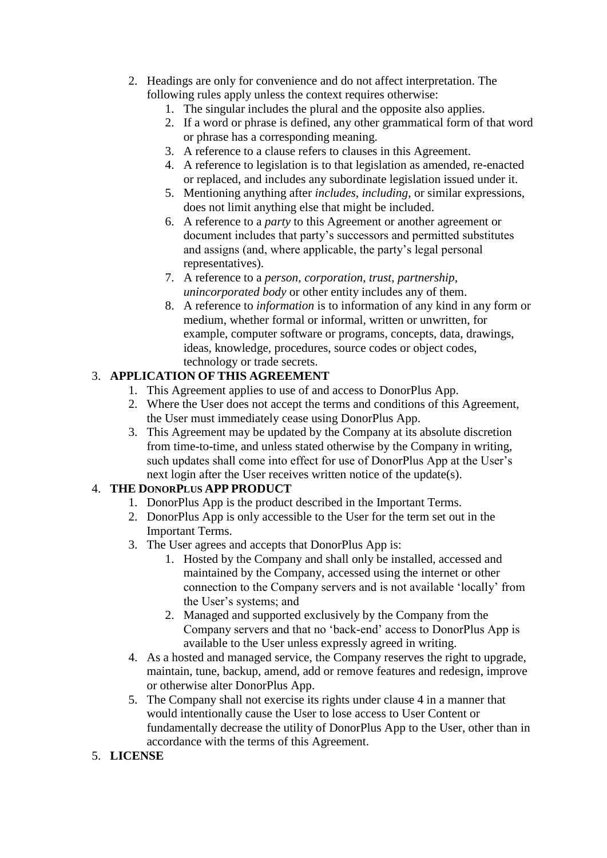- 2. Headings are only for convenience and do not affect interpretation. The following rules apply unless the context requires otherwise:
	- 1. The singular includes the plural and the opposite also applies.
	- 2. If a word or phrase is defined, any other grammatical form of that word or phrase has a corresponding meaning.
	- 3. A reference to a clause refers to clauses in this Agreement.
	- 4. A reference to legislation is to that legislation as amended, re-enacted or replaced, and includes any subordinate legislation issued under it.
	- 5. Mentioning anything after *includes*, *including*, or similar expressions, does not limit anything else that might be included.
	- 6. A reference to a *party* to this Agreement or another agreement or document includes that party's successors and permitted substitutes and assigns (and, where applicable, the party's legal personal representatives).
	- 7. A reference to a *person*, *corporation*, *trust*, *partnership*, *unincorporated body* or other entity includes any of them.
	- 8. A reference to *information* is to information of any kind in any form or medium, whether formal or informal, written or unwritten, for example, computer software or programs, concepts, data, drawings, ideas, knowledge, procedures, source codes or object codes, technology or trade secrets.

# 3. **APPLICATION OF THIS AGREEMENT**

- 1. This Agreement applies to use of and access to DonorPlus App.
- 2. Where the User does not accept the terms and conditions of this Agreement, the User must immediately cease using DonorPlus App.
- 3. This Agreement may be updated by the Company at its absolute discretion from time-to-time, and unless stated otherwise by the Company in writing, such updates shall come into effect for use of DonorPlus App at the User's next login after the User receives written notice of the update(s).

# 4. **THE DONORPLUS APP PRODUCT**

- 1. DonorPlus App is the product described in the Important Terms.
- 2. DonorPlus App is only accessible to the User for the term set out in the Important Terms.
- 3. The User agrees and accepts that DonorPlus App is:
	- 1. Hosted by the Company and shall only be installed, accessed and maintained by the Company, accessed using the internet or other connection to the Company servers and is not available 'locally' from the User's systems; and
	- 2. Managed and supported exclusively by the Company from the Company servers and that no 'back-end' access to DonorPlus App is available to the User unless expressly agreed in writing.
- 4. As a hosted and managed service, the Company reserves the right to upgrade, maintain, tune, backup, amend, add or remove features and redesign, improve or otherwise alter DonorPlus App.
- 5. The Company shall not exercise its rights under clause 4 in a manner that would intentionally cause the User to lose access to User Content or fundamentally decrease the utility of DonorPlus App to the User, other than in accordance with the terms of this Agreement.
- 5. **LICENSE**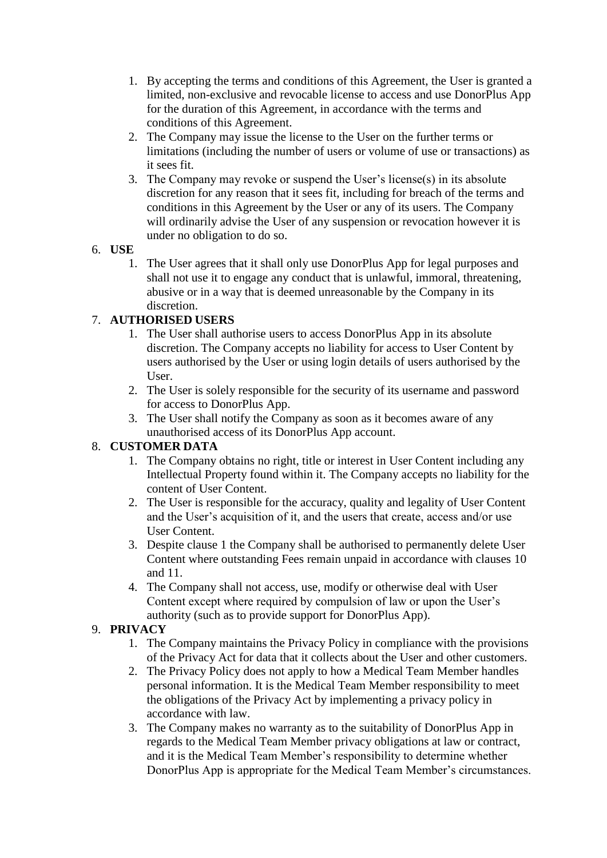- 1. By accepting the terms and conditions of this Agreement, the User is granted a limited, non-exclusive and revocable license to access and use DonorPlus App for the duration of this Agreement, in accordance with the terms and conditions of this Agreement.
- 2. The Company may issue the license to the User on the further terms or limitations (including the number of users or volume of use or transactions) as it sees fit.
- 3. The Company may revoke or suspend the User's license(s) in its absolute discretion for any reason that it sees fit, including for breach of the terms and conditions in this Agreement by the User or any of its users. The Company will ordinarily advise the User of any suspension or revocation however it is under no obligation to do so.

### 6. **USE**

1. The User agrees that it shall only use DonorPlus App for legal purposes and shall not use it to engage any conduct that is unlawful, immoral, threatening, abusive or in a way that is deemed unreasonable by the Company in its discretion.

# 7. **AUTHORISED USERS**

- 1. The User shall authorise users to access DonorPlus App in its absolute discretion. The Company accepts no liability for access to User Content by users authorised by the User or using login details of users authorised by the User.
- 2. The User is solely responsible for the security of its username and password for access to DonorPlus App.
- 3. The User shall notify the Company as soon as it becomes aware of any unauthorised access of its DonorPlus App account.

# 8. **CUSTOMER DATA**

- 1. The Company obtains no right, title or interest in User Content including any Intellectual Property found within it. The Company accepts no liability for the content of User Content.
- 2. The User is responsible for the accuracy, quality and legality of User Content and the User's acquisition of it, and the users that create, access and/or use User Content.
- 3. Despite clause 1 the Company shall be authorised to permanently delete User Content where outstanding Fees remain unpaid in accordance with clauses 10 and 11.
- 4. The Company shall not access, use, modify or otherwise deal with User Content except where required by compulsion of law or upon the User's authority (such as to provide support for DonorPlus App).

# 9. **PRIVACY**

- 1. The Company maintains the Privacy Policy in compliance with the provisions of the Privacy Act for data that it collects about the User and other customers.
- 2. The Privacy Policy does not apply to how a Medical Team Member handles personal information. It is the Medical Team Member responsibility to meet the obligations of the Privacy Act by implementing a privacy policy in accordance with law.
- 3. The Company makes no warranty as to the suitability of DonorPlus App in regards to the Medical Team Member privacy obligations at law or contract, and it is the Medical Team Member's responsibility to determine whether DonorPlus App is appropriate for the Medical Team Member's circumstances.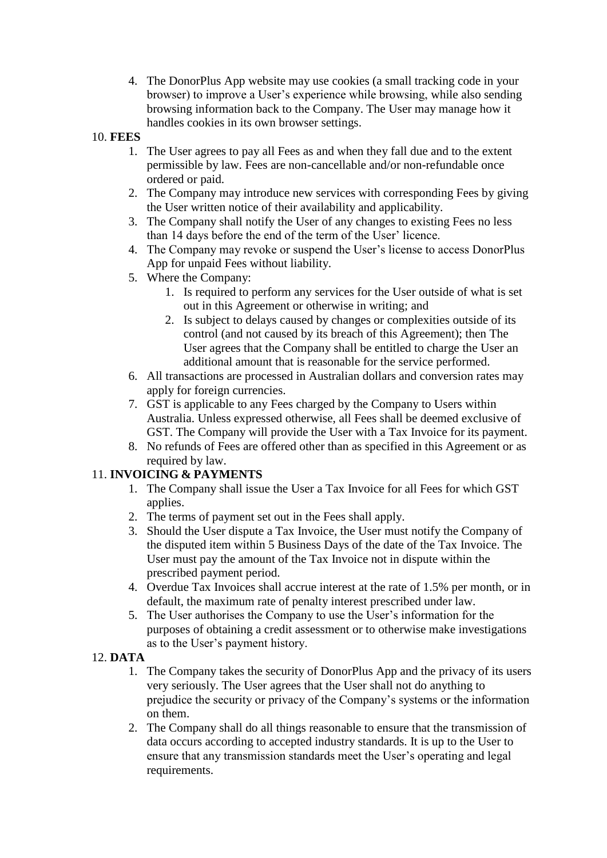4. The DonorPlus App website may use cookies (a small tracking code in your browser) to improve a User's experience while browsing, while also sending browsing information back to the Company. The User may manage how it handles cookies in its own browser settings.

### 10. **FEES**

- 1. The User agrees to pay all Fees as and when they fall due and to the extent permissible by law. Fees are non-cancellable and/or non-refundable once ordered or paid.
- 2. The Company may introduce new services with corresponding Fees by giving the User written notice of their availability and applicability.
- 3. The Company shall notify the User of any changes to existing Fees no less than 14 days before the end of the term of the User' licence.
- 4. The Company may revoke or suspend the User's license to access DonorPlus App for unpaid Fees without liability.
- 5. Where the Company:
	- 1. Is required to perform any services for the User outside of what is set out in this Agreement or otherwise in writing; and
	- 2. Is subject to delays caused by changes or complexities outside of its control (and not caused by its breach of this Agreement); then The User agrees that the Company shall be entitled to charge the User an additional amount that is reasonable for the service performed.
- 6. All transactions are processed in Australian dollars and conversion rates may apply for foreign currencies.
- 7. GST is applicable to any Fees charged by the Company to Users within Australia. Unless expressed otherwise, all Fees shall be deemed exclusive of GST. The Company will provide the User with a Tax Invoice for its payment.
- 8. No refunds of Fees are offered other than as specified in this Agreement or as required by law.

# 11. **INVOICING & PAYMENTS**

- 1. The Company shall issue the User a Tax Invoice for all Fees for which GST applies.
- 2. The terms of payment set out in the Fees shall apply.
- 3. Should the User dispute a Tax Invoice, the User must notify the Company of the disputed item within 5 Business Days of the date of the Tax Invoice. The User must pay the amount of the Tax Invoice not in dispute within the prescribed payment period.
- 4. Overdue Tax Invoices shall accrue interest at the rate of 1.5% per month, or in default, the maximum rate of penalty interest prescribed under law.
- 5. The User authorises the Company to use the User's information for the purposes of obtaining a credit assessment or to otherwise make investigations as to the User's payment history.

# 12. **DATA**

- 1. The Company takes the security of DonorPlus App and the privacy of its users very seriously. The User agrees that the User shall not do anything to prejudice the security or privacy of the Company's systems or the information on them.
- 2. The Company shall do all things reasonable to ensure that the transmission of data occurs according to accepted industry standards. It is up to the User to ensure that any transmission standards meet the User's operating and legal requirements.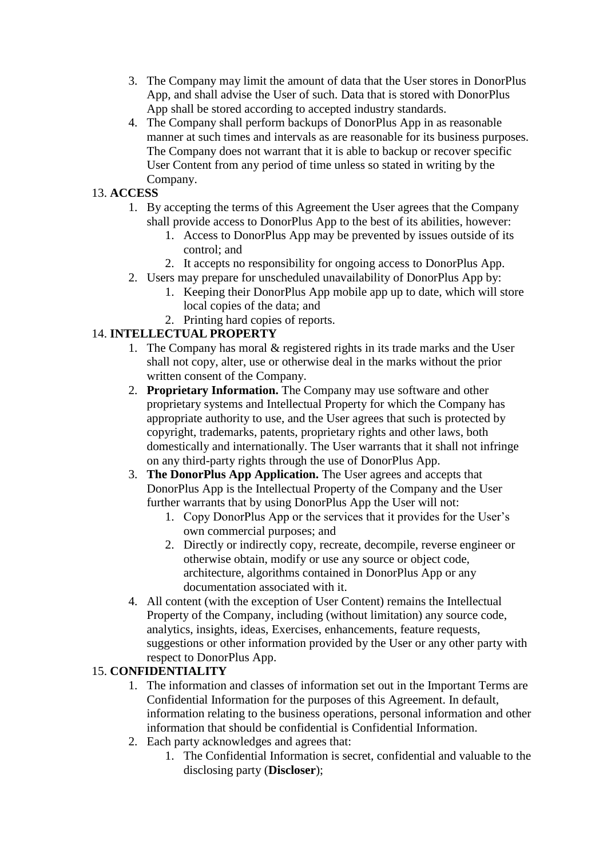- 3. The Company may limit the amount of data that the User stores in DonorPlus App, and shall advise the User of such. Data that is stored with DonorPlus App shall be stored according to accepted industry standards.
- 4. The Company shall perform backups of DonorPlus App in as reasonable manner at such times and intervals as are reasonable for its business purposes. The Company does not warrant that it is able to backup or recover specific User Content from any period of time unless so stated in writing by the Company.

# 13. **ACCESS**

- 1. By accepting the terms of this Agreement the User agrees that the Company shall provide access to DonorPlus App to the best of its abilities, however:
	- 1. Access to DonorPlus App may be prevented by issues outside of its control; and
	- 2. It accepts no responsibility for ongoing access to DonorPlus App.
- 2. Users may prepare for unscheduled unavailability of DonorPlus App by:
	- 1. Keeping their DonorPlus App mobile app up to date, which will store local copies of the data; and
	- 2. Printing hard copies of reports.

# 14. **INTELLECTUAL PROPERTY**

- 1. The Company has moral & registered rights in its trade marks and the User shall not copy, alter, use or otherwise deal in the marks without the prior written consent of the Company.
- 2. **Proprietary Information.** The Company may use software and other proprietary systems and Intellectual Property for which the Company has appropriate authority to use, and the User agrees that such is protected by copyright, trademarks, patents, proprietary rights and other laws, both domestically and internationally. The User warrants that it shall not infringe on any third-party rights through the use of DonorPlus App.
- 3. **The DonorPlus App Application.** The User agrees and accepts that DonorPlus App is the Intellectual Property of the Company and the User further warrants that by using DonorPlus App the User will not:
	- 1. Copy DonorPlus App or the services that it provides for the User's own commercial purposes; and
	- 2. Directly or indirectly copy, recreate, decompile, reverse engineer or otherwise obtain, modify or use any source or object code, architecture, algorithms contained in DonorPlus App or any documentation associated with it.
- 4. All content (with the exception of User Content) remains the Intellectual Property of the Company, including (without limitation) any source code, analytics, insights, ideas, Exercises, enhancements, feature requests, suggestions or other information provided by the User or any other party with respect to DonorPlus App.

# 15. **CONFIDENTIALITY**

- 1. The information and classes of information set out in the Important Terms are Confidential Information for the purposes of this Agreement. In default, information relating to the business operations, personal information and other information that should be confidential is Confidential Information.
- 2. Each party acknowledges and agrees that:
	- 1. The Confidential Information is secret, confidential and valuable to the disclosing party (**Discloser**);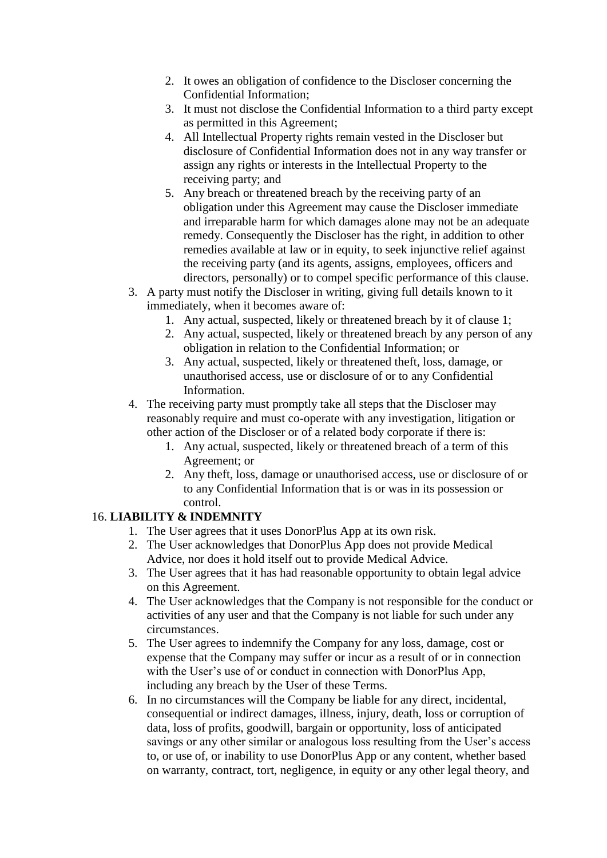- 2. It owes an obligation of confidence to the Discloser concerning the Confidential Information;
- 3. It must not disclose the Confidential Information to a third party except as permitted in this Agreement;
- 4. All Intellectual Property rights remain vested in the Discloser but disclosure of Confidential Information does not in any way transfer or assign any rights or interests in the Intellectual Property to the receiving party; and
- 5. Any breach or threatened breach by the receiving party of an obligation under this Agreement may cause the Discloser immediate and irreparable harm for which damages alone may not be an adequate remedy. Consequently the Discloser has the right, in addition to other remedies available at law or in equity, to seek injunctive relief against the receiving party (and its agents, assigns, employees, officers and directors, personally) or to compel specific performance of this clause.
- 3. A party must notify the Discloser in writing, giving full details known to it immediately, when it becomes aware of:
	- 1. Any actual, suspected, likely or threatened breach by it of clause 1;
	- 2. Any actual, suspected, likely or threatened breach by any person of any obligation in relation to the Confidential Information; or
	- 3. Any actual, suspected, likely or threatened theft, loss, damage, or unauthorised access, use or disclosure of or to any Confidential Information.
- 4. The receiving party must promptly take all steps that the Discloser may reasonably require and must co-operate with any investigation, litigation or other action of the Discloser or of a related body corporate if there is:
	- 1. Any actual, suspected, likely or threatened breach of a term of this Agreement; or
	- 2. Any theft, loss, damage or unauthorised access, use or disclosure of or to any Confidential Information that is or was in its possession or control.

# 16. **LIABILITY & INDEMNITY**

- 1. The User agrees that it uses DonorPlus App at its own risk.
- 2. The User acknowledges that DonorPlus App does not provide Medical Advice, nor does it hold itself out to provide Medical Advice.
- 3. The User agrees that it has had reasonable opportunity to obtain legal advice on this Agreement.
- 4. The User acknowledges that the Company is not responsible for the conduct or activities of any user and that the Company is not liable for such under any circumstances.
- 5. The User agrees to indemnify the Company for any loss, damage, cost or expense that the Company may suffer or incur as a result of or in connection with the User's use of or conduct in connection with DonorPlus App, including any breach by the User of these Terms.
- 6. In no circumstances will the Company be liable for any direct, incidental, consequential or indirect damages, illness, injury, death, loss or corruption of data, loss of profits, goodwill, bargain or opportunity, loss of anticipated savings or any other similar or analogous loss resulting from the User's access to, or use of, or inability to use DonorPlus App or any content, whether based on warranty, contract, tort, negligence, in equity or any other legal theory, and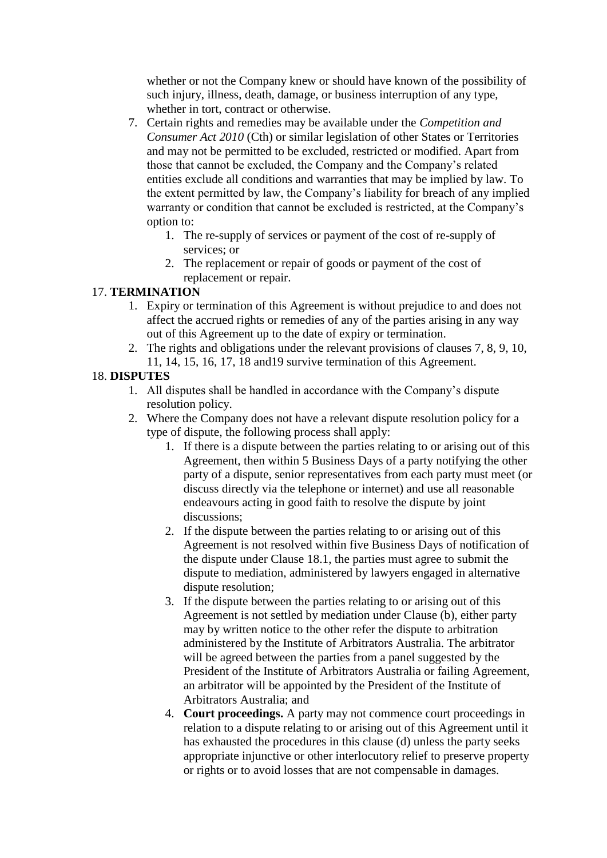whether or not the Company knew or should have known of the possibility of such injury, illness, death, damage, or business interruption of any type, whether in tort, contract or otherwise.

- 7. Certain rights and remedies may be available under the *Competition and Consumer Act 2010* (Cth) or similar legislation of other States or Territories and may not be permitted to be excluded, restricted or modified. Apart from those that cannot be excluded, the Company and the Company's related entities exclude all conditions and warranties that may be implied by law. To the extent permitted by law, the Company's liability for breach of any implied warranty or condition that cannot be excluded is restricted, at the Company's option to:
	- 1. The re-supply of services or payment of the cost of re-supply of services; or
	- 2. The replacement or repair of goods or payment of the cost of replacement or repair.

### 17. **TERMINATION**

- 1. Expiry or termination of this Agreement is without prejudice to and does not affect the accrued rights or remedies of any of the parties arising in any way out of this Agreement up to the date of expiry or termination.
- 2. The rights and obligations under the relevant provisions of clauses 7, 8, 9, 10, 11, 14, 15, 16, 17, 18 and19 survive termination of this Agreement.

### 18. **DISPUTES**

- 1. All disputes shall be handled in accordance with the Company's dispute resolution policy.
- 2. Where the Company does not have a relevant dispute resolution policy for a type of dispute, the following process shall apply:
	- 1. If there is a dispute between the parties relating to or arising out of this Agreement, then within 5 Business Days of a party notifying the other party of a dispute, senior representatives from each party must meet (or discuss directly via the telephone or internet) and use all reasonable endeavours acting in good faith to resolve the dispute by joint discussions;
	- 2. If the dispute between the parties relating to or arising out of this Agreement is not resolved within five Business Days of notification of the dispute under Clause 18.1, the parties must agree to submit the dispute to mediation, administered by lawyers engaged in alternative dispute resolution;
	- 3. If the dispute between the parties relating to or arising out of this Agreement is not settled by mediation under Clause (b), either party may by written notice to the other refer the dispute to arbitration administered by the Institute of Arbitrators Australia. The arbitrator will be agreed between the parties from a panel suggested by the President of the Institute of Arbitrators Australia or failing Agreement, an arbitrator will be appointed by the President of the Institute of Arbitrators Australia; and
	- 4. **Court proceedings.** A party may not commence court proceedings in relation to a dispute relating to or arising out of this Agreement until it has exhausted the procedures in this clause (d) unless the party seeks appropriate injunctive or other interlocutory relief to preserve property or rights or to avoid losses that are not compensable in damages.